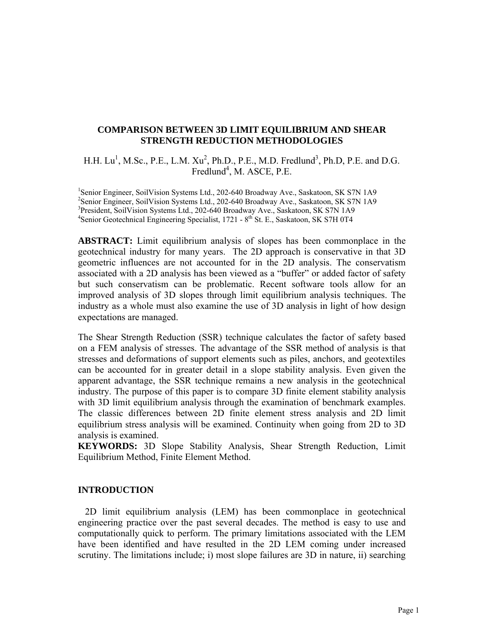# **COMPARISON BETWEEN 3D LIMIT EQUILIBRIUM AND SHEAR STRENGTH REDUCTION METHODOLOGIES**

H.H.  $Lu^1$ , M.Sc., P.E., L.M.  $Xu^2$ , Ph.D., P.E., M.D. Fredlund<sup>3</sup>, Ph.D, P.E. and D.G. Fredlund<sup>4</sup>, M. ASCE, P.E.

<sup>1</sup>Senior Engineer, SoilVision Systems Ltd., 202-640 Broadway Ave., Saskatoon, SK S7N 1A9 <sup>2</sup> Senior Engineer, SoilVision Systems Ltd., 202-640 Broadway Ave., Saskatoon, SK S7N 1A9 3 President, SoilVision Systems Ltd., 202-640 Broadway Ave., Saskatoon, SK S7N 1A9 <sup>4</sup>Senior Geotechnical Engineering Specialist, 1721 - 8<sup>th</sup> St. E., Saskatoon, SK S7H 0T4

**ABSTRACT:** Limit equilibrium analysis of slopes has been commonplace in the geotechnical industry for many years. The 2D approach is conservative in that 3D geometric influences are not accounted for in the 2D analysis. The conservatism associated with a 2D analysis has been viewed as a "buffer" or added factor of safety but such conservatism can be problematic. Recent software tools allow for an improved analysis of 3D slopes through limit equilibrium analysis techniques. The industry as a whole must also examine the use of 3D analysis in light of how design expectations are managed.

The Shear Strength Reduction (SSR) technique calculates the factor of safety based on a FEM analysis of stresses. The advantage of the SSR method of analysis is that stresses and deformations of support elements such as piles, anchors, and geotextiles can be accounted for in greater detail in a slope stability analysis. Even given the apparent advantage, the SSR technique remains a new analysis in the geotechnical industry. The purpose of this paper is to compare 3D finite element stability analysis with 3D limit equilibrium analysis through the examination of benchmark examples. The classic differences between 2D finite element stress analysis and 2D limit equilibrium stress analysis will be examined. Continuity when going from 2D to 3D analysis is examined.

**KEYWORDS:** 3D Slope Stability Analysis, Shear Strength Reduction, Limit Equilibrium Method, Finite Element Method.

### **INTRODUCTION**

 2D limit equilibrium analysis (LEM) has been commonplace in geotechnical engineering practice over the past several decades. The method is easy to use and computationally quick to perform. The primary limitations associated with the LEM have been identified and have resulted in the 2D LEM coming under increased scrutiny. The limitations include; i) most slope failures are 3D in nature, ii) searching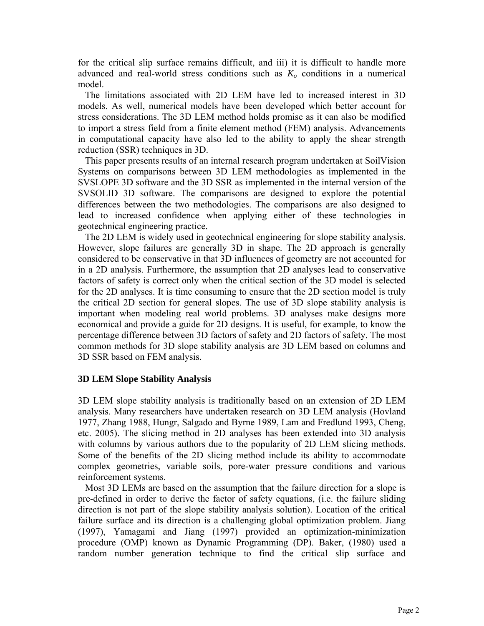for the critical slip surface remains difficult, and iii) it is difficult to handle more advanced and real-world stress conditions such as *Ko* conditions in a numerical model.

 The limitations associated with 2D LEM have led to increased interest in 3D models. As well, numerical models have been developed which better account for stress considerations. The 3D LEM method holds promise as it can also be modified to import a stress field from a finite element method (FEM) analysis. Advancements in computational capacity have also led to the ability to apply the shear strength reduction (SSR) techniques in 3D.

 This paper presents results of an internal research program undertaken at SoilVision Systems on comparisons between 3D LEM methodologies as implemented in the SVSLOPE 3D software and the 3D SSR as implemented in the internal version of the SVSOLID 3D software. The comparisons are designed to explore the potential differences between the two methodologies. The comparisons are also designed to lead to increased confidence when applying either of these technologies in geotechnical engineering practice.

 The 2D LEM is widely used in geotechnical engineering for slope stability analysis. However, slope failures are generally 3D in shape. The 2D approach is generally considered to be conservative in that 3D influences of geometry are not accounted for in a 2D analysis. Furthermore, the assumption that 2D analyses lead to conservative factors of safety is correct only when the critical section of the 3D model is selected for the 2D analyses. It is time consuming to ensure that the 2D section model is truly the critical 2D section for general slopes. The use of 3D slope stability analysis is important when modeling real world problems. 3D analyses make designs more economical and provide a guide for 2D designs. It is useful, for example, to know the percentage difference between 3D factors of safety and 2D factors of safety. The most common methods for 3D slope stability analysis are 3D LEM based on columns and 3D SSR based on FEM analysis.

# **3D LEM Slope Stability Analysis**

3D LEM slope stability analysis is traditionally based on an extension of 2D LEM analysis. Many researchers have undertaken research on 3D LEM analysis (Hovland 1977, Zhang 1988, Hungr, Salgado and Byrne 1989, Lam and Fredlund 1993, Cheng, etc. 2005). The slicing method in 2D analyses has been extended into 3D analysis with columns by various authors due to the popularity of 2D LEM slicing methods. Some of the benefits of the 2D slicing method include its ability to accommodate complex geometries, variable soils, pore-water pressure conditions and various reinforcement systems.

 Most 3D LEMs are based on the assumption that the failure direction for a slope is pre-defined in order to derive the factor of safety equations, (i.e. the failure sliding direction is not part of the slope stability analysis solution). Location of the critical failure surface and its direction is a challenging global optimization problem. Jiang (1997), Yamagami and Jiang (1997) provided an optimization-minimization procedure (OMP) known as Dynamic Programming (DP). Baker, (1980) used a random number generation technique to find the critical slip surface and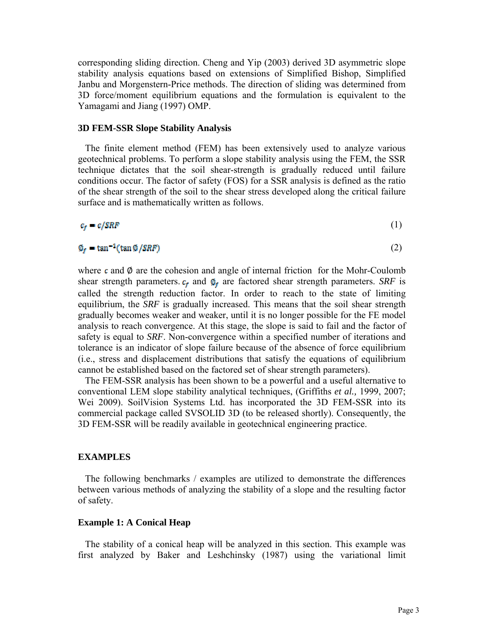corresponding sliding direction. Cheng and Yip (2003) derived 3D asymmetric slope stability analysis equations based on extensions of Simplified Bishop, Simplified Janbu and Morgenstern-Price methods. The direction of sliding was determined from 3D force/moment equilibrium equations and the formulation is equivalent to the Yamagami and Jiang (1997) OMP.

## **3D FEM-SSR Slope Stability Analysis**

 The finite element method (FEM) has been extensively used to analyze various geotechnical problems. To perform a slope stability analysis using the FEM, the SSR technique dictates that the soil shear-strength is gradually reduced until failure conditions occur. The factor of safety (FOS) for a SSR analysis is defined as the ratio of the shear strength of the soil to the shear stress developed along the critical failure surface and is mathematically written as follows.

$$
c_f = c/SRF
$$
 (1)

$$
\emptyset_f = \tan^{-1}(\tan \emptyset / SRF) \tag{2}
$$

where  $\epsilon$  and  $\emptyset$  are the cohesion and angle of internal friction for the Mohr-Coulomb shear strength parameters.  $c_f$  and  $\mathbf{\Phi}_f$  are factored shear strength parameters. *SRF* is called the strength reduction factor. In order to reach to the state of limiting equilibrium, the *SRF* is gradually increased. This means that the soil shear strength gradually becomes weaker and weaker, until it is no longer possible for the FE model analysis to reach convergence. At this stage, the slope is said to fail and the factor of safety is equal to *SRF*. Non-convergence within a specified number of iterations and tolerance is an indicator of slope failure because of the absence of force equilibrium (i.e., stress and displacement distributions that satisfy the equations of equilibrium cannot be established based on the factored set of shear strength parameters).

 The FEM-SSR analysis has been shown to be a powerful and a useful alternative to conventional LEM slope stability analytical techniques, (Griffiths *et al.,* 1999, 2007; Wei 2009). SoilVision Systems Ltd. has incorporated the 3D FEM-SSR into its commercial package called SVSOLID 3D (to be released shortly). Consequently, the 3D FEM-SSR will be readily available in geotechnical engineering practice.

## **EXAMPLES**

 The following benchmarks / examples are utilized to demonstrate the differences between various methods of analyzing the stability of a slope and the resulting factor of safety.

### **Example 1: A Conical Heap**

 The stability of a conical heap will be analyzed in this section. This example was first analyzed by Baker and Leshchinsky (1987) using the variational limit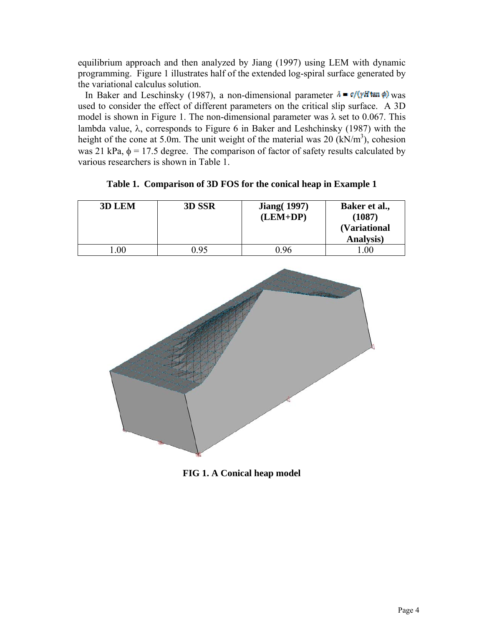equilibrium approach and then analyzed by Jiang (1997) using LEM with dynamic programming. Figure 1 illustrates half of the extended log-spiral surface generated by the variational calculus solution.

In Baker and Leschinsky (1987), a non-dimensional parameter  $\lambda = \frac{\sigma}{\sqrt{H}} \tan \phi$  was used to consider the effect of different parameters on the critical slip surface. A 3D model is shown in Figure 1. The non-dimensional parameter was  $\lambda$  set to 0.067. This lambda value,  $\lambda$ , corresponds to Figure 6 in Baker and Leshchinsky (1987) with the height of the cone at 5.0m. The unit weight of the material was 20  $(kN/m<sup>3</sup>)$ , cohesion was 21 kPa,  $\phi$  = 17.5 degree. The comparison of factor of safety results calculated by various researchers is shown in Table 1.

| 3D LEM         | 3D SSR | <b>Jiang</b> (1997)<br>$(LEM+DP)$ | Baker et al.,<br>(1087)<br><i>(Variational</i><br>Analysis) |
|----------------|--------|-----------------------------------|-------------------------------------------------------------|
| 0 <sup>0</sup> | ი  95  | 0 ዓ6                              | $.00\,$                                                     |

**Table 1. Comparison of 3D FOS for the conical heap in Example 1** 



**FIG 1. A Conical heap model**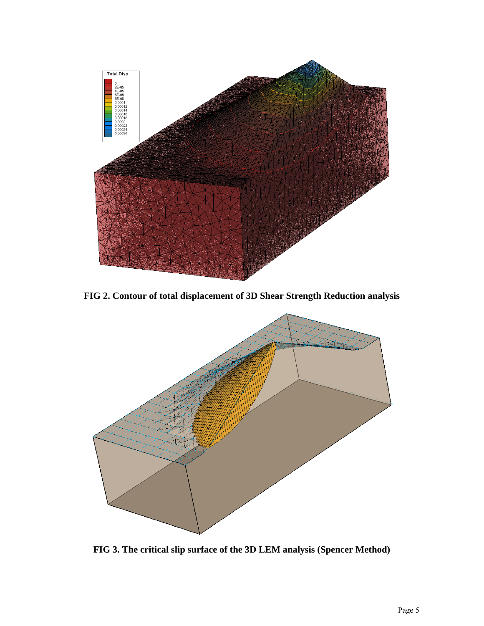

**FIG 2. Contour of total displacement of 3D Shear Strength Reduction analysis** 



**FIG 3. The critical slip surface of the 3D LEM analysis (Spencer Method)**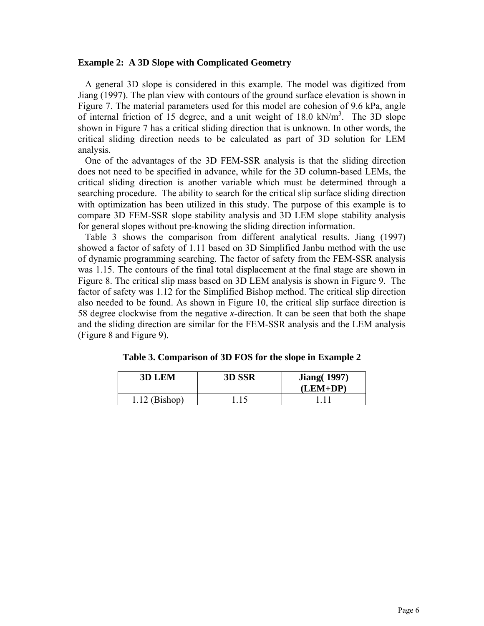## **Example 2: A 3D Slope with Complicated Geometry**

 A general 3D slope is considered in this example. The model was digitized from Jiang (1997). The plan view with contours of the ground surface elevation is shown in Figure 7. The material parameters used for this model are cohesion of 9.6 kPa, angle of internal friction of 15 degree, and a unit weight of  $18.0 \text{ kN/m}^3$ . The 3D slope shown in Figure 7 has a critical sliding direction that is unknown. In other words, the critical sliding direction needs to be calculated as part of 3D solution for LEM analysis.

 One of the advantages of the 3D FEM-SSR analysis is that the sliding direction does not need to be specified in advance, while for the 3D column-based LEMs, the critical sliding direction is another variable which must be determined through a searching procedure. The ability to search for the critical slip surface sliding direction with optimization has been utilized in this study. The purpose of this example is to compare 3D FEM-SSR slope stability analysis and 3D LEM slope stability analysis for general slopes without pre-knowing the sliding direction information.

 Table 3 shows the comparison from different analytical results. Jiang (1997) showed a factor of safety of 1.11 based on 3D Simplified Janbu method with the use of dynamic programming searching. The factor of safety from the FEM-SSR analysis was 1.15. The contours of the final total displacement at the final stage are shown in Figure 8. The critical slip mass based on 3D LEM analysis is shown in Figure 9. The factor of safety was 1.12 for the Simplified Bishop method. The critical slip direction also needed to be found. As shown in Figure 10, the critical slip surface direction is 58 degree clockwise from the negative *x*-direction. It can be seen that both the shape and the sliding direction are similar for the FEM-SSR analysis and the LEM analysis (Figure 8 and Figure 9).

| <b>3D LEM</b>   | 3D SSR | <b>Jiang</b> (1997)<br>$(LEM+DP)$ |
|-----------------|--------|-----------------------------------|
| $1.12$ (Bishop) |        |                                   |

**Table 3. Comparison of 3D FOS for the slope in Example 2**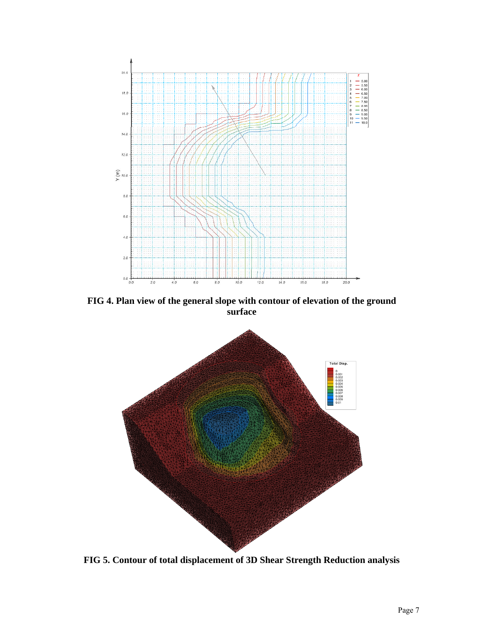

**FIG 4. Plan view of the general slope with contour of elevation of the ground surface** 



**FIG 5. Contour of total displacement of 3D Shear Strength Reduction analysis**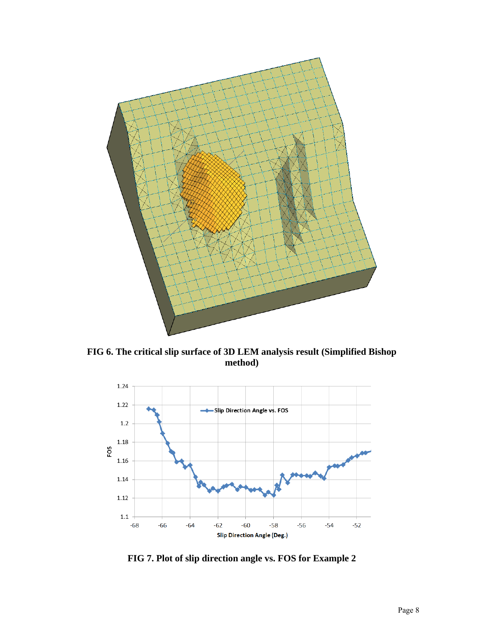

**FIG 6. The critical slip surface of 3D LEM analysis result (Simplified Bishop method)** 



**FIG 7. Plot of slip direction angle vs. FOS for Example 2**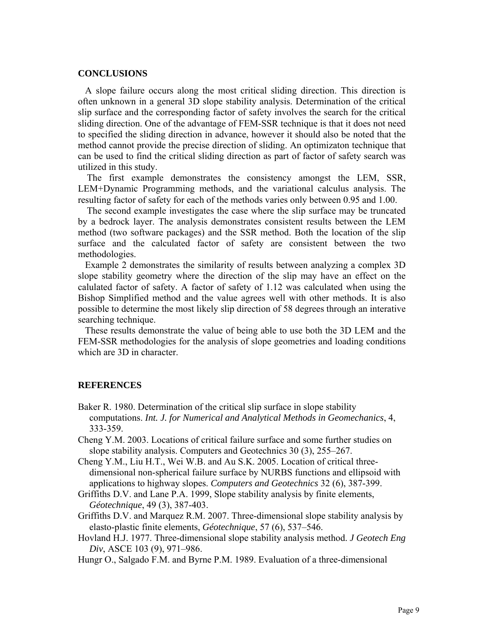#### **CONCLUSIONS**

 A slope failure occurs along the most critical sliding direction. This direction is often unknown in a general 3D slope stability analysis. Determination of the critical slip surface and the corresponding factor of safety involves the search for the critical sliding direction. One of the advantage of FEM-SSR technique is that it does not need to specified the sliding direction in advance, however it should also be noted that the method cannot provide the precise direction of sliding. An optimizaton technique that can be used to find the critical sliding direction as part of factor of safety search was utilized in this study.

The first example demonstrates the consistency amongst the LEM, SSR, LEM+Dynamic Programming methods, and the variational calculus analysis. The resulting factor of safety for each of the methods varies only between 0.95 and 1.00.

The second example investigates the case where the slip surface may be truncated by a bedrock layer. The analysis demonstrates consistent results between the LEM method (two software packages) and the SSR method. Both the location of the slip surface and the calculated factor of safety are consistent between the two methodologies.

 Example 2 demonstrates the similarity of results between analyzing a complex 3D slope stability geometry where the direction of the slip may have an effect on the calulated factor of safety. A factor of safety of 1.12 was calculated when using the Bishop Simplified method and the value agrees well with other methods. It is also possible to determine the most likely slip direction of 58 degrees through an interative searching technique.

 These results demonstrate the value of being able to use both the 3D LEM and the FEM-SSR methodologies for the analysis of slope geometries and loading conditions which are 3D in character.

# **REFERENCES**

- Baker R. 1980. Determination of the critical slip surface in slope stability computations. *Int. J. for Numerical and Analytical Methods in Geomechanics*, 4, 333-359.
- Cheng Y.M. 2003. Locations of critical failure surface and some further studies on slope stability analysis. Computers and Geotechnics 30 (3), 255–267.
- Cheng Y.M., Liu H.T., Wei W.B. and Au S.K. 2005. Location of critical threedimensional non-spherical failure surface by NURBS functions and ellipsoid with applications to highway slopes. *Computers and Geotechnics* 32 (6), 387-399.
- Griffiths D.V. and Lane P.A. 1999, Slope stability analysis by finite elements, *Géotechnique*, 49 (3), 387-403.
- Griffiths D.V. and Marquez R.M. 2007. Three-dimensional slope stability analysis by elasto-plastic finite elements, *Géotechnique*, 57 (6), 537–546.
- Hovland H.J. 1977. Three-dimensional slope stability analysis method. *J Geotech Eng Div*, ASCE 103 (9), 971–986.

Hungr O., Salgado F.M. and Byrne P.M. 1989. Evaluation of a three-dimensional